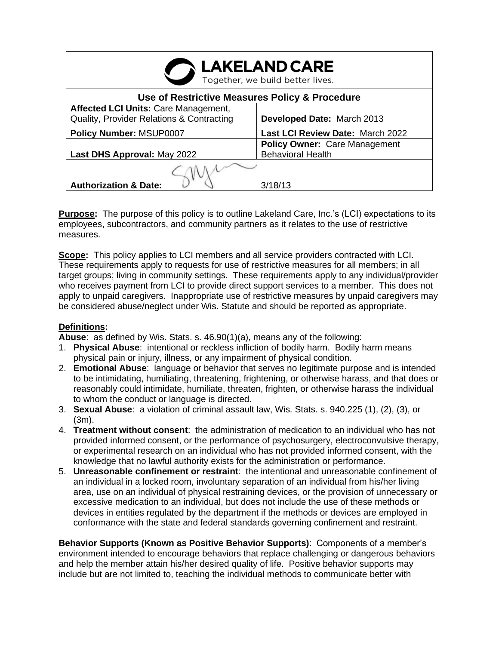| <b>LAKELAND CARE</b><br>Together, we build better lives.                                 |                                                           |
|------------------------------------------------------------------------------------------|-----------------------------------------------------------|
| Use of Restrictive Measures Policy & Procedure                                           |                                                           |
| <b>Affected LCI Units: Care Management,</b><br>Quality, Provider Relations & Contracting | Developed Date: March 2013                                |
| Policy Number: MSUP0007                                                                  | Last LCI Review Date: March 2022                          |
| Last DHS Approval: May 2022                                                              | Policy Owner: Care Management<br><b>Behavioral Health</b> |
|                                                                                          |                                                           |
| <b>Authorization &amp; Date:</b>                                                         | 3/18/13                                                   |

**Purpose:** The purpose of this policy is to outline Lakeland Care, Inc.'s (LCI) expectations to its employees, subcontractors, and community partners as it relates to the use of restrictive measures.

**Scope:** This policy applies to LCI members and all service providers contracted with LCI. These requirements apply to requests for use of restrictive measures for all members; in all target groups; living in community settings. These requirements apply to any individual/provider who receives payment from LCI to provide direct support services to a member. This does not apply to unpaid caregivers. Inappropriate use of restrictive measures by unpaid caregivers may be considered abuse/neglect under Wis. Statute and should be reported as appropriate.

# **Definitions:**

**Abuse**: as defined by Wis. Stats. s. 46.90(1)(a), means any of the following:

- 1. **Physical Abuse**: intentional or reckless infliction of bodily harm. Bodily harm means physical pain or injury, illness, or any impairment of physical condition.
- 2. **Emotional Abuse**: language or behavior that serves no legitimate purpose and is intended to be intimidating, humiliating, threatening, frightening, or otherwise harass, and that does or reasonably could intimidate, humiliate, threaten, frighten, or otherwise harass the individual to whom the conduct or language is directed.
- 3. **Sexual Abuse**: a violation of criminal assault law, Wis. Stats. s. 940.225 (1), (2), (3), or (3m).
- 4. **Treatment without consent**: the administration of medication to an individual who has not provided informed consent, or the performance of psychosurgery, electroconvulsive therapy, or experimental research on an individual who has not provided informed consent, with the knowledge that no lawful authority exists for the administration or performance.
- 5. **Unreasonable confinement or restraint**: the intentional and unreasonable confinement of an individual in a locked room, involuntary separation of an individual from his/her living area, use on an individual of physical restraining devices, or the provision of unnecessary or excessive medication to an individual, but does not include the use of these methods or devices in entities regulated by the department if the methods or devices are employed in conformance with the state and federal standards governing confinement and restraint.

**Behavior Supports (Known as Positive Behavior Supports)**: Components of a member's environment intended to encourage behaviors that replace challenging or dangerous behaviors and help the member attain his/her desired quality of life. Positive behavior supports may include but are not limited to, teaching the individual methods to communicate better with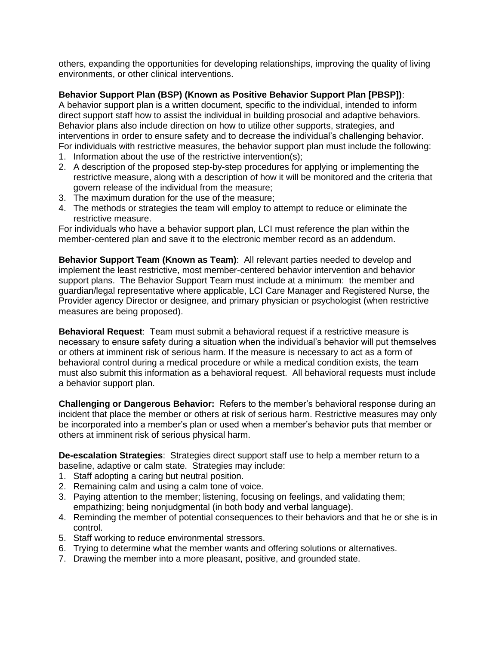others, expanding the opportunities for developing relationships, improving the quality of living environments, or other clinical interventions.

# **Behavior Support Plan (BSP) (Known as Positive Behavior Support Plan [PBSP])**:

A behavior support plan is a written document, specific to the individual, intended to inform direct support staff how to assist the individual in building prosocial and adaptive behaviors. Behavior plans also include direction on how to utilize other supports, strategies, and interventions in order to ensure safety and to decrease the individual's challenging behavior. For individuals with restrictive measures, the behavior support plan must include the following:

- 1. Information about the use of the restrictive intervention(s);
- 2. A description of the proposed step-by-step procedures for applying or implementing the restrictive measure, along with a description of how it will be monitored and the criteria that govern release of the individual from the measure;
- 3. The maximum duration for the use of the measure;
- 4. The methods or strategies the team will employ to attempt to reduce or eliminate the restrictive measure.

For individuals who have a behavior support plan, LCI must reference the plan within the member-centered plan and save it to the electronic member record as an addendum.

**Behavior Support Team (Known as Team)**: All relevant parties needed to develop and implement the least restrictive, most member-centered behavior intervention and behavior support plans. The Behavior Support Team must include at a minimum: the member and guardian/legal representative where applicable, LCI Care Manager and Registered Nurse, the Provider agency Director or designee, and primary physician or psychologist (when restrictive measures are being proposed).

**Behavioral Request**: Team must submit a behavioral request if a restrictive measure is necessary to ensure safety during a situation when the individual's behavior will put themselves or others at imminent risk of serious harm. If the measure is necessary to act as a form of behavioral control during a medical procedure or while a medical condition exists, the team must also submit this information as a behavioral request. All behavioral requests must include a behavior support plan.

**Challenging or Dangerous Behavior:** Refers to the member's behavioral response during an incident that place the member or others at risk of serious harm. Restrictive measures may only be incorporated into a member's plan or used when a member's behavior puts that member or others at imminent risk of serious physical harm.

**De-escalation Strategies**: Strategies direct support staff use to help a member return to a baseline, adaptive or calm state. Strategies may include:

- 1. Staff adopting a caring but neutral position.
- 2. Remaining calm and using a calm tone of voice.
- 3. Paying attention to the member; listening, focusing on feelings, and validating them; empathizing; being nonjudgmental (in both body and verbal language).
- 4. Reminding the member of potential consequences to their behaviors and that he or she is in control.
- 5. Staff working to reduce environmental stressors.
- 6. Trying to determine what the member wants and offering solutions or alternatives.
- 7. Drawing the member into a more pleasant, positive, and grounded state.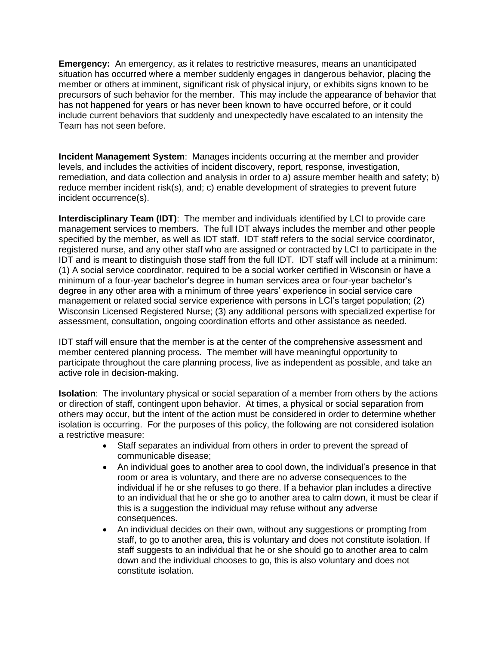**Emergency:** An emergency, as it relates to restrictive measures, means an unanticipated situation has occurred where a member suddenly engages in dangerous behavior, placing the member or others at imminent, significant risk of physical injury, or exhibits signs known to be precursors of such behavior for the member. This may include the appearance of behavior that has not happened for years or has never been known to have occurred before, or it could include current behaviors that suddenly and unexpectedly have escalated to an intensity the Team has not seen before.

**Incident Management System**: Manages incidents occurring at the member and provider levels, and includes the activities of incident discovery, report, response, investigation, remediation, and data collection and analysis in order to a) assure member health and safety; b) reduce member incident risk(s), and; c) enable development of strategies to prevent future incident occurrence(s).

**Interdisciplinary Team (IDT)**: The member and individuals identified by LCI to provide care management services to members. The full IDT always includes the member and other people specified by the member, as well as IDT staff. IDT staff refers to the social service coordinator, registered nurse, and any other staff who are assigned or contracted by LCI to participate in the IDT and is meant to distinguish those staff from the full IDT. IDT staff will include at a minimum: (1) A social service coordinator, required to be a social worker certified in Wisconsin or have a minimum of a four-year bachelor's degree in human services area or four-year bachelor's degree in any other area with a minimum of three years' experience in social service care management or related social service experience with persons in LCI's target population; (2) Wisconsin Licensed Registered Nurse; (3) any additional persons with specialized expertise for assessment, consultation, ongoing coordination efforts and other assistance as needed.

IDT staff will ensure that the member is at the center of the comprehensive assessment and member centered planning process. The member will have meaningful opportunity to participate throughout the care planning process, live as independent as possible, and take an active role in decision-making.

**Isolation**: The involuntary physical or social separation of a member from others by the actions or direction of staff, contingent upon behavior. At times, a physical or social separation from others may occur, but the intent of the action must be considered in order to determine whether isolation is occurring. For the purposes of this policy, the following are not considered isolation a restrictive measure:

- Staff separates an individual from others in order to prevent the spread of communicable disease;
- An individual goes to another area to cool down, the individual's presence in that room or area is voluntary, and there are no adverse consequences to the individual if he or she refuses to go there. If a behavior plan includes a directive to an individual that he or she go to another area to calm down, it must be clear if this is a suggestion the individual may refuse without any adverse consequences.
- An individual decides on their own, without any suggestions or prompting from staff, to go to another area, this is voluntary and does not constitute isolation. If staff suggests to an individual that he or she should go to another area to calm down and the individual chooses to go, this is also voluntary and does not constitute isolation.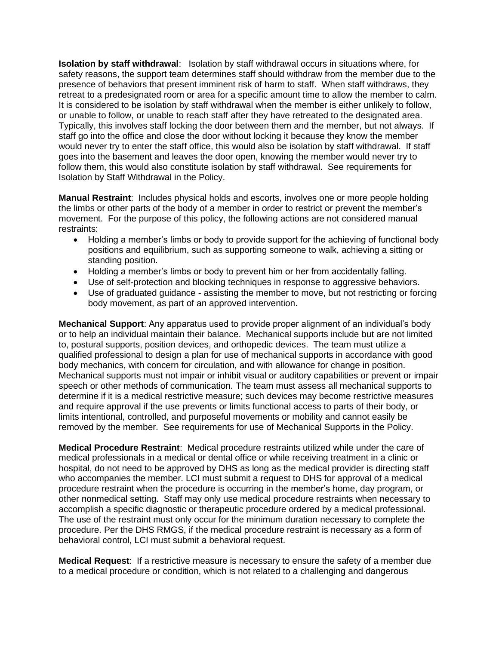**Isolation by staff withdrawal**: Isolation by staff withdrawal occurs in situations where, for safety reasons, the support team determines staff should withdraw from the member due to the presence of behaviors that present imminent risk of harm to staff. When staff withdraws, they retreat to a predesignated room or area for a specific amount time to allow the member to calm. It is considered to be isolation by staff withdrawal when the member is either unlikely to follow, or unable to follow, or unable to reach staff after they have retreated to the designated area. Typically, this involves staff locking the door between them and the member, but not always. If staff go into the office and close the door without locking it because they know the member would never try to enter the staff office, this would also be isolation by staff withdrawal. If staff goes into the basement and leaves the door open, knowing the member would never try to follow them, this would also constitute isolation by staff withdrawal. See requirements for Isolation by Staff Withdrawal in the Policy.

**Manual Restraint**: Includes physical holds and escorts, involves one or more people holding the limbs or other parts of the body of a member in order to restrict or prevent the member's movement. For the purpose of this policy, the following actions are not considered manual restraints:

- Holding a member's limbs or body to provide support for the achieving of functional body positions and equilibrium, such as supporting someone to walk, achieving a sitting or standing position.
- Holding a member's limbs or body to prevent him or her from accidentally falling.
- Use of self-protection and blocking techniques in response to aggressive behaviors.
- Use of graduated guidance assisting the member to move, but not restricting or forcing body movement, as part of an approved intervention.

**Mechanical Support**: Any apparatus used to provide proper alignment of an individual's body or to help an individual maintain their balance. Mechanical supports include but are not limited to, postural supports, position devices, and orthopedic devices. The team must utilize a qualified professional to design a plan for use of mechanical supports in accordance with good body mechanics, with concern for circulation, and with allowance for change in position. Mechanical supports must not impair or inhibit visual or auditory capabilities or prevent or impair speech or other methods of communication. The team must assess all mechanical supports to determine if it is a medical restrictive measure; such devices may become restrictive measures and require approval if the use prevents or limits functional access to parts of their body, or limits intentional, controlled, and purposeful movements or mobility and cannot easily be removed by the member. See requirements for use of Mechanical Supports in the Policy.

**Medical Procedure Restraint**: Medical procedure restraints utilized while under the care of medical professionals in a medical or dental office or while receiving treatment in a clinic or hospital, do not need to be approved by DHS as long as the medical provider is directing staff who accompanies the member. LCI must submit a request to DHS for approval of a medical procedure restraint when the procedure is occurring in the member's home, day program, or other nonmedical setting. Staff may only use medical procedure restraints when necessary to accomplish a specific diagnostic or therapeutic procedure ordered by a medical professional. The use of the restraint must only occur for the minimum duration necessary to complete the procedure. Per the DHS RMGS, if the medical procedure restraint is necessary as a form of behavioral control, LCI must submit a behavioral request.

**Medical Request**: If a restrictive measure is necessary to ensure the safety of a member due to a medical procedure or condition, which is not related to a challenging and dangerous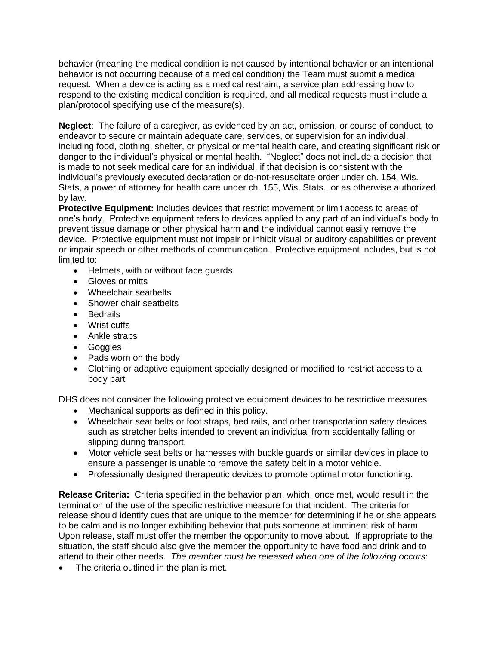behavior (meaning the medical condition is not caused by intentional behavior or an intentional behavior is not occurring because of a medical condition) the Team must submit a medical request. When a device is acting as a medical restraint, a service plan addressing how to respond to the existing medical condition is required, and all medical requests must include a plan/protocol specifying use of the measure(s).

**Neglect**: The failure of a caregiver, as evidenced by an act, omission, or course of conduct, to endeavor to secure or maintain adequate care, services, or supervision for an individual, including food, clothing, shelter, or physical or mental health care, and creating significant risk or danger to the individual's physical or mental health. "Neglect" does not include a decision that is made to not seek medical care for an individual, if that decision is consistent with the individual's previously executed declaration or do-not-resuscitate order under ch. 154, Wis. Stats, a power of attorney for health care under ch. 155, Wis. Stats., or as otherwise authorized by law.

**Protective Equipment:** Includes devices that restrict movement or limit access to areas of one's body. Protective equipment refers to devices applied to any part of an individual's body to prevent tissue damage or other physical harm **and** the individual cannot easily remove the device. Protective equipment must not impair or inhibit visual or auditory capabilities or prevent or impair speech or other methods of communication. Protective equipment includes, but is not limited to:

- Helmets, with or without face guards
- Gloves or mitts
- Wheelchair seatbelts
- Shower chair seatbelts
- Bedrails
- Wrist cuffs
- Ankle straps
- Goggles
- Pads worn on the body
- Clothing or adaptive equipment specially designed or modified to restrict access to a body part

DHS does not consider the following protective equipment devices to be restrictive measures:

- Mechanical supports as defined in this policy.
- Wheelchair seat belts or foot straps, bed rails, and other transportation safety devices such as stretcher belts intended to prevent an individual from accidentally falling or slipping during transport.
- Motor vehicle seat belts or harnesses with buckle guards or similar devices in place to ensure a passenger is unable to remove the safety belt in a motor vehicle.
- Professionally designed therapeutic devices to promote optimal motor functioning.

**Release Criteria:** Criteria specified in the behavior plan, which, once met, would result in the termination of the use of the specific restrictive measure for that incident. The criteria for release should identify cues that are unique to the member for determining if he or she appears to be calm and is no longer exhibiting behavior that puts someone at imminent risk of harm. Upon release, staff must offer the member the opportunity to move about. If appropriate to the situation, the staff should also give the member the opportunity to have food and drink and to attend to their other needs. *The member must be released when one of the following occurs*:

The criteria outlined in the plan is met.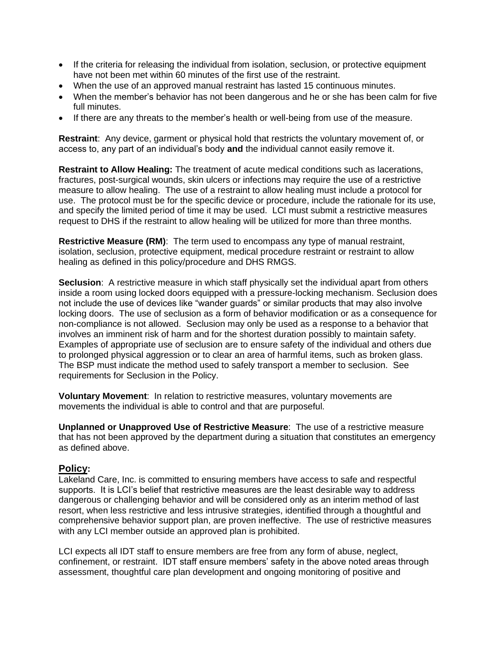- If the criteria for releasing the individual from isolation, seclusion, or protective equipment have not been met within 60 minutes of the first use of the restraint.
- When the use of an approved manual restraint has lasted 15 continuous minutes.
- When the member's behavior has not been dangerous and he or she has been calm for five full minutes.
- If there are any threats to the member's health or well-being from use of the measure.

**Restraint**: Any device, garment or physical hold that restricts the voluntary movement of, or access to, any part of an individual's body **and** the individual cannot easily remove it.

**Restraint to Allow Healing:** The treatment of acute medical conditions such as lacerations, fractures, post-surgical wounds, skin ulcers or infections may require the use of a restrictive measure to allow healing. The use of a restraint to allow healing must include a protocol for use. The protocol must be for the specific device or procedure, include the rationale for its use, and specify the limited period of time it may be used. LCI must submit a restrictive measures request to DHS if the restraint to allow healing will be utilized for more than three months.

**Restrictive Measure (RM)**: The term used to encompass any type of manual restraint, isolation, seclusion, protective equipment, medical procedure restraint or restraint to allow healing as defined in this policy/procedure and DHS RMGS.

**Seclusion**: A restrictive measure in which staff physically set the individual apart from others inside a room using locked doors equipped with a pressure-locking mechanism. Seclusion does not include the use of devices like "wander guards" or similar products that may also involve locking doors. The use of seclusion as a form of behavior modification or as a consequence for non-compliance is not allowed. Seclusion may only be used as a response to a behavior that involves an imminent risk of harm and for the shortest duration possibly to maintain safety. Examples of appropriate use of seclusion are to ensure safety of the individual and others due to prolonged physical aggression or to clear an area of harmful items, such as broken glass. The BSP must indicate the method used to safely transport a member to seclusion. See requirements for Seclusion in the Policy.

**Voluntary Movement**: In relation to restrictive measures, voluntary movements are movements the individual is able to control and that are purposeful.

**Unplanned or Unapproved Use of Restrictive Measure**: The use of a restrictive measure that has not been approved by the department during a situation that constitutes an emergency as defined above.

# **Policy:**

Lakeland Care, Inc. is committed to ensuring members have access to safe and respectful supports. It is LCI's belief that restrictive measures are the least desirable way to address dangerous or challenging behavior and will be considered only as an interim method of last resort, when less restrictive and less intrusive strategies, identified through a thoughtful and comprehensive behavior support plan, are proven ineffective. The use of restrictive measures with any LCI member outside an approved plan is prohibited.

LCI expects all IDT staff to ensure members are free from any form of abuse, neglect, confinement, or restraint. IDT staff ensure members' safety in the above noted areas through assessment, thoughtful care plan development and ongoing monitoring of positive and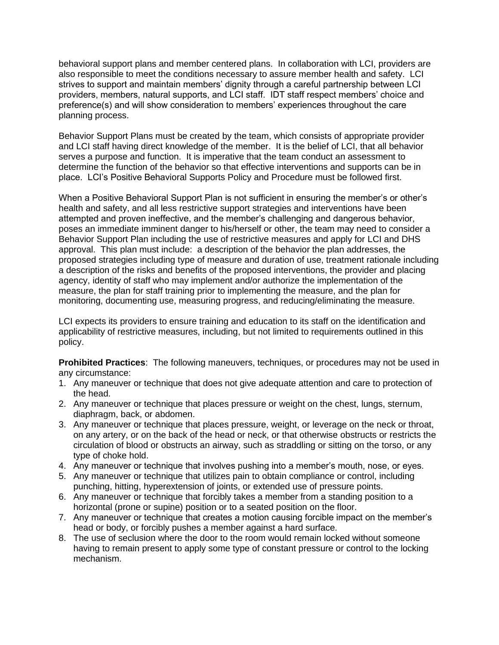behavioral support plans and member centered plans. In collaboration with LCI, providers are also responsible to meet the conditions necessary to assure member health and safety. LCI strives to support and maintain members' dignity through a careful partnership between LCI providers, members, natural supports, and LCI staff. IDT staff respect members' choice and preference(s) and will show consideration to members' experiences throughout the care planning process.

Behavior Support Plans must be created by the team, which consists of appropriate provider and LCI staff having direct knowledge of the member. It is the belief of LCI, that all behavior serves a purpose and function. It is imperative that the team conduct an assessment to determine the function of the behavior so that effective interventions and supports can be in place. LCI's Positive Behavioral Supports Policy and Procedure must be followed first.

When a Positive Behavioral Support Plan is not sufficient in ensuring the member's or other's health and safety, and all less restrictive support strategies and interventions have been attempted and proven ineffective, and the member's challenging and dangerous behavior, poses an immediate imminent danger to his/herself or other, the team may need to consider a Behavior Support Plan including the use of restrictive measures and apply for LCI and DHS approval. This plan must include: a description of the behavior the plan addresses, the proposed strategies including type of measure and duration of use, treatment rationale including a description of the risks and benefits of the proposed interventions, the provider and placing agency, identity of staff who may implement and/or authorize the implementation of the measure, the plan for staff training prior to implementing the measure, and the plan for monitoring, documenting use, measuring progress, and reducing/eliminating the measure.

LCI expects its providers to ensure training and education to its staff on the identification and applicability of restrictive measures, including, but not limited to requirements outlined in this policy.

**Prohibited Practices**: The following maneuvers, techniques, or procedures may not be used in any circumstance:

- 1. Any maneuver or technique that does not give adequate attention and care to protection of the head.
- 2. Any maneuver or technique that places pressure or weight on the chest, lungs, sternum, diaphragm, back, or abdomen.
- 3. Any maneuver or technique that places pressure, weight, or leverage on the neck or throat, on any artery, or on the back of the head or neck, or that otherwise obstructs or restricts the circulation of blood or obstructs an airway, such as straddling or sitting on the torso, or any type of choke hold.
- 4. Any maneuver or technique that involves pushing into a member's mouth, nose, or eyes.
- 5. Any maneuver or technique that utilizes pain to obtain compliance or control, including punching, hitting, hyperextension of joints, or extended use of pressure points.
- 6. Any maneuver or technique that forcibly takes a member from a standing position to a horizontal (prone or supine) position or to a seated position on the floor.
- 7. Any maneuver or technique that creates a motion causing forcible impact on the member's head or body, or forcibly pushes a member against a hard surface.
- 8. The use of seclusion where the door to the room would remain locked without someone having to remain present to apply some type of constant pressure or control to the locking mechanism.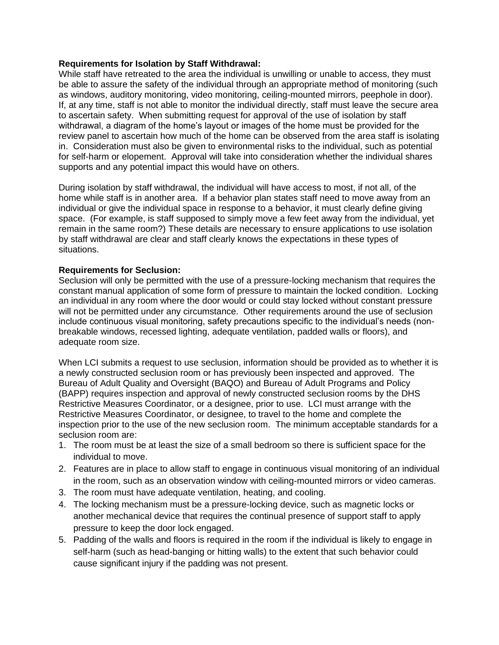# **Requirements for Isolation by Staff Withdrawal:**

While staff have retreated to the area the individual is unwilling or unable to access, they must be able to assure the safety of the individual through an appropriate method of monitoring (such as windows, auditory monitoring, video monitoring, ceiling-mounted mirrors, peephole in door). If, at any time, staff is not able to monitor the individual directly, staff must leave the secure area to ascertain safety. When submitting request for approval of the use of isolation by staff withdrawal, a diagram of the home's layout or images of the home must be provided for the review panel to ascertain how much of the home can be observed from the area staff is isolating in. Consideration must also be given to environmental risks to the individual, such as potential for self-harm or elopement. Approval will take into consideration whether the individual shares supports and any potential impact this would have on others.

During isolation by staff withdrawal, the individual will have access to most, if not all, of the home while staff is in another area. If a behavior plan states staff need to move away from an individual or give the individual space in response to a behavior, it must clearly define giving space. (For example, is staff supposed to simply move a few feet away from the individual, yet remain in the same room?) These details are necessary to ensure applications to use isolation by staff withdrawal are clear and staff clearly knows the expectations in these types of situations.

### **Requirements for Seclusion:**

Seclusion will only be permitted with the use of a pressure-locking mechanism that requires the constant manual application of some form of pressure to maintain the locked condition. Locking an individual in any room where the door would or could stay locked without constant pressure will not be permitted under any circumstance. Other requirements around the use of seclusion include continuous visual monitoring, safety precautions specific to the individual's needs (nonbreakable windows, recessed lighting, adequate ventilation, padded walls or floors), and adequate room size.

When LCI submits a request to use seclusion, information should be provided as to whether it is a newly constructed seclusion room or has previously been inspected and approved. The Bureau of Adult Quality and Oversight (BAQO) and Bureau of Adult Programs and Policy (BAPP) requires inspection and approval of newly constructed seclusion rooms by the DHS Restrictive Measures Coordinator, or a designee, prior to use. LCI must arrange with the Restrictive Measures Coordinator, or designee, to travel to the home and complete the inspection prior to the use of the new seclusion room. The minimum acceptable standards for a seclusion room are:

- 1. The room must be at least the size of a small bedroom so there is sufficient space for the individual to move.
- 2. Features are in place to allow staff to engage in continuous visual monitoring of an individual in the room, such as an observation window with ceiling-mounted mirrors or video cameras.
- 3. The room must have adequate ventilation, heating, and cooling.
- 4. The locking mechanism must be a pressure-locking device, such as magnetic locks or another mechanical device that requires the continual presence of support staff to apply pressure to keep the door lock engaged.
- 5. Padding of the walls and floors is required in the room if the individual is likely to engage in self-harm (such as head-banging or hitting walls) to the extent that such behavior could cause significant injury if the padding was not present.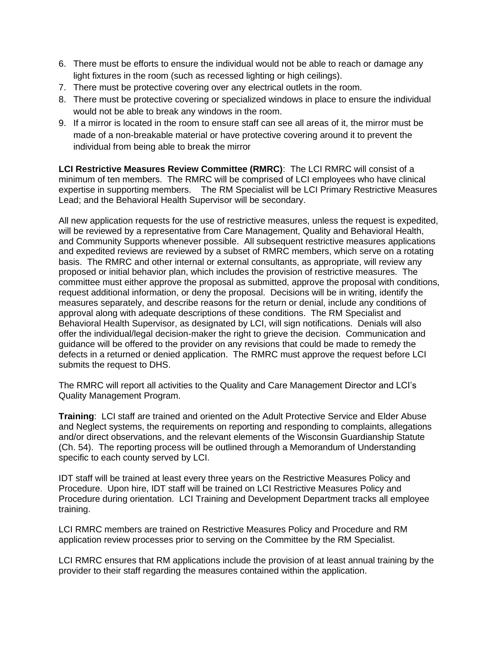- 6. There must be efforts to ensure the individual would not be able to reach or damage any light fixtures in the room (such as recessed lighting or high ceilings).
- 7. There must be protective covering over any electrical outlets in the room.
- 8. There must be protective covering or specialized windows in place to ensure the individual would not be able to break any windows in the room.
- 9. If a mirror is located in the room to ensure staff can see all areas of it, the mirror must be made of a non-breakable material or have protective covering around it to prevent the individual from being able to break the mirror

**LCI Restrictive Measures Review Committee (RMRC)**: The LCI RMRC will consist of a minimum of ten members. The RMRC will be comprised of LCI employees who have clinical expertise in supporting members. The RM Specialist will be LCI Primary Restrictive Measures Lead; and the Behavioral Health Supervisor will be secondary.

All new application requests for the use of restrictive measures, unless the request is expedited, will be reviewed by a representative from Care Management, Quality and Behavioral Health, and Community Supports whenever possible. All subsequent restrictive measures applications and expedited reviews are reviewed by a subset of RMRC members, which serve on a rotating basis. The RMRC and other internal or external consultants, as appropriate, will review any proposed or initial behavior plan, which includes the provision of restrictive measures. The committee must either approve the proposal as submitted, approve the proposal with conditions, request additional information, or deny the proposal. Decisions will be in writing, identify the measures separately, and describe reasons for the return or denial, include any conditions of approval along with adequate descriptions of these conditions. The RM Specialist and Behavioral Health Supervisor, as designated by LCI, will sign notifications. Denials will also offer the individual/legal decision-maker the right to grieve the decision. Communication and guidance will be offered to the provider on any revisions that could be made to remedy the defects in a returned or denied application. The RMRC must approve the request before LCI submits the request to DHS.

The RMRC will report all activities to the Quality and Care Management Director and LCI's Quality Management Program.

**Training**: LCI staff are trained and oriented on the Adult Protective Service and Elder Abuse and Neglect systems, the requirements on reporting and responding to complaints, allegations and/or direct observations, and the relevant elements of the Wisconsin Guardianship Statute (Ch. 54). The reporting process will be outlined through a Memorandum of Understanding specific to each county served by LCI.

IDT staff will be trained at least every three years on the Restrictive Measures Policy and Procedure. Upon hire, IDT staff will be trained on LCI Restrictive Measures Policy and Procedure during orientation. LCI Training and Development Department tracks all employee training.

LCI RMRC members are trained on Restrictive Measures Policy and Procedure and RM application review processes prior to serving on the Committee by the RM Specialist.

LCI RMRC ensures that RM applications include the provision of at least annual training by the provider to their staff regarding the measures contained within the application.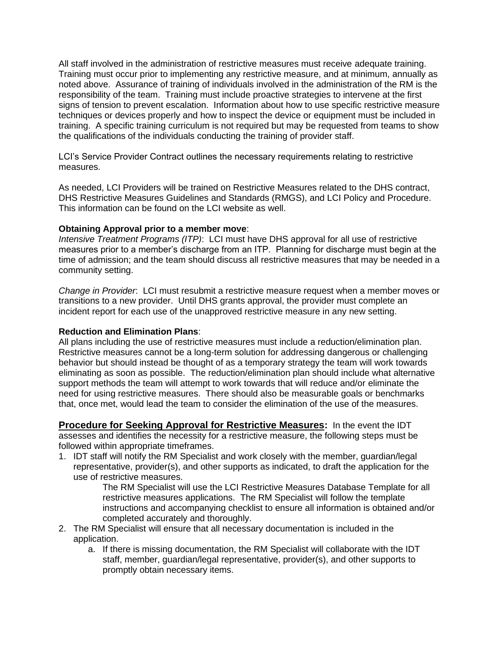All staff involved in the administration of restrictive measures must receive adequate training. Training must occur prior to implementing any restrictive measure, and at minimum, annually as noted above. Assurance of training of individuals involved in the administration of the RM is the responsibility of the team. Training must include proactive strategies to intervene at the first signs of tension to prevent escalation. Information about how to use specific restrictive measure techniques or devices properly and how to inspect the device or equipment must be included in training. A specific training curriculum is not required but may be requested from teams to show the qualifications of the individuals conducting the training of provider staff.

LCI's Service Provider Contract outlines the necessary requirements relating to restrictive measures.

As needed, LCI Providers will be trained on Restrictive Measures related to the DHS contract, DHS Restrictive Measures Guidelines and Standards (RMGS), and LCI Policy and Procedure. This information can be found on the LCI website as well.

# **Obtaining Approval prior to a member move**:

*Intensive Treatment Programs (ITP)*: LCI must have DHS approval for all use of restrictive measures prior to a member's discharge from an ITP. Planning for discharge must begin at the time of admission; and the team should discuss all restrictive measures that may be needed in a community setting.

*Change in Provider*: LCI must resubmit a restrictive measure request when a member moves or transitions to a new provider. Until DHS grants approval, the provider must complete an incident report for each use of the unapproved restrictive measure in any new setting.

# **Reduction and Elimination Plans**:

All plans including the use of restrictive measures must include a reduction/elimination plan. Restrictive measures cannot be a long-term solution for addressing dangerous or challenging behavior but should instead be thought of as a temporary strategy the team will work towards eliminating as soon as possible. The reduction/elimination plan should include what alternative support methods the team will attempt to work towards that will reduce and/or eliminate the need for using restrictive measures. There should also be measurable goals or benchmarks that, once met, would lead the team to consider the elimination of the use of the measures.

**Procedure for Seeking Approval for Restrictive Measures:** In the event the IDT assesses and identifies the necessity for a restrictive measure, the following steps must be followed within appropriate timeframes.

1. IDT staff will notify the RM Specialist and work closely with the member, guardian/legal representative, provider(s), and other supports as indicated, to draft the application for the use of restrictive measures.

The RM Specialist will use the LCI Restrictive Measures Database Template for all restrictive measures applications. The RM Specialist will follow the template instructions and accompanying checklist to ensure all information is obtained and/or completed accurately and thoroughly.

- 2. The RM Specialist will ensure that all necessary documentation is included in the application.
	- a. If there is missing documentation, the RM Specialist will collaborate with the IDT staff, member, guardian/legal representative, provider(s), and other supports to promptly obtain necessary items.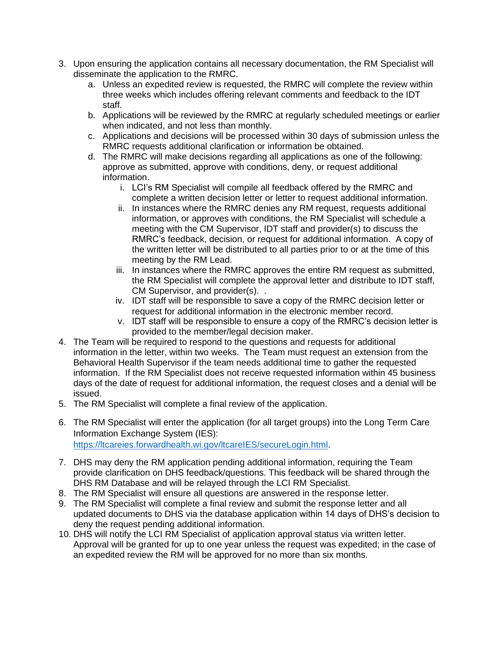- 3. Upon ensuring the application contains all necessary documentation, the RM Specialist will disseminate the application to the RMRC.
	- a. Unless an expedited review is requested, the RMRC will complete the review within three weeks which includes offering relevant comments and feedback to the IDT staff.
	- b. Applications will be reviewed by the RMRC at regularly scheduled meetings or earlier when indicated, and not less than monthly.
	- c. Applications and decisions will be processed within 30 days of submission unless the RMRC requests additional clarification or information be obtained.
	- d. The RMRC will make decisions regarding all applications as one of the following: approve as submitted, approve with conditions, deny, or request additional information.
		- i. LCI's RM Specialist will compile all feedback offered by the RMRC and complete a written decision letter or letter to request additional information.
		- ii. In instances where the RMRC denies any RM request, requests additional information, or approves with conditions, the RM Specialist will schedule a meeting with the CM Supervisor, IDT staff and provider(s) to discuss the RMRC's feedback, decision, or request for additional information. A copy of the written letter will be distributed to all parties prior to or at the time of this meeting by the RM Lead.
		- iii. In instances where the RMRC approves the entire RM request as submitted, the RM Specialist will complete the approval letter and distribute to IDT staff, CM Supervisor, and provider(s). .
		- iv. IDT staff will be responsible to save a copy of the RMRC decision letter or request for additional information in the electronic member record.
		- v. IDT staff will be responsible to ensure a copy of the RMRC's decision letter is provided to the member/legal decision maker.
- 4. The Team will be required to respond to the questions and requests for additional information in the letter, within two weeks. The Team must request an extension from the Behavioral Health Supervisor if the team needs additional time to gather the requested information. If the RM Specialist does not receive requested information within 45 business days of the date of request for additional information, the request closes and a denial will be issued.
- 5. The RM Specialist will complete a final review of the application.
- 6. The RM Specialist will enter the application (for all target groups) into the Long Term Care Information Exchange System (IES): [https://ltcareies.forwardhealth.wi.gov/ltcareIES/secureLogin.html.](https://ltcareies.forwardhealth.wi.gov/ltcareIES/secureLogin.html)
- 7. DHS may deny the RM application pending additional information, requiring the Team provide clarification on DHS feedback/questions. This feedback will be shared through the DHS RM Database and will be relayed through the LCI RM Specialist.
- 8. The RM Specialist will ensure all questions are answered in the response letter.
- 9. The RM Specialist will complete a final review and submit the response letter and all updated documents to DHS via the database application within 14 days of DHS's decision to deny the request pending additional information.
- 10. DHS will notify the LCI RM Specialist of application approval status via written letter. Approval will be granted for up to one year unless the request was expedited; in the case of an expedited review the RM will be approved for no more than six months.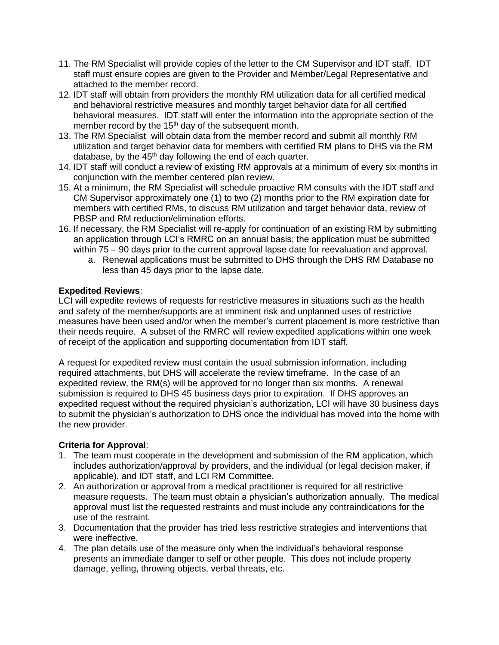- 11. The RM Specialist will provide copies of the letter to the CM Supervisor and IDT staff. IDT staff must ensure copies are given to the Provider and Member/Legal Representative and attached to the member record.
- 12. IDT staff will obtain from providers the monthly RM utilization data for all certified medical and behavioral restrictive measures and monthly target behavior data for all certified behavioral measures. IDT staff will enter the information into the appropriate section of the member record by the  $15<sup>th</sup>$  day of the subsequent month.
- 13. The RM Specialist will obtain data from the member record and submit all monthly RM utilization and target behavior data for members with certified RM plans to DHS via the RM database, by the  $45<sup>th</sup>$  day following the end of each quarter.
- 14. IDT staff will conduct a review of existing RM approvals at a minimum of every six months in conjunction with the member centered plan review.
- 15. At a minimum, the RM Specialist will schedule proactive RM consults with the IDT staff and CM Supervisor approximately one (1) to two (2) months prior to the RM expiration date for members with certified RMs, to discuss RM utilization and target behavior data, review of PBSP and RM reduction/elimination efforts.
- 16. If necessary, the RM Specialist will re-apply for continuation of an existing RM by submitting an application through LCI's RMRC on an annual basis; the application must be submitted within 75 – 90 days prior to the current approval lapse date for reevaluation and approval.
	- a. Renewal applications must be submitted to DHS through the DHS RM Database no less than 45 days prior to the lapse date.

# **Expedited Reviews**:

LCI will expedite reviews of requests for restrictive measures in situations such as the health and safety of the member/supports are at imminent risk and unplanned uses of restrictive measures have been used and/or when the member's current placement is more restrictive than their needs require. A subset of the RMRC will review expedited applications within one week of receipt of the application and supporting documentation from IDT staff.

A request for expedited review must contain the usual submission information, including required attachments, but DHS will accelerate the review timeframe. In the case of an expedited review, the RM(s) will be approved for no longer than six months. A renewal submission is required to DHS 45 business days prior to expiration. If DHS approves an expedited request without the required physician's authorization, LCI will have 30 business days to submit the physician's authorization to DHS once the individual has moved into the home with the new provider.

# **Criteria for Approval**:

- 1. The team must cooperate in the development and submission of the RM application, which includes authorization/approval by providers, and the individual (or legal decision maker, if applicable), and IDT staff, and LCI RM Committee.
- 2. An authorization or approval from a medical practitioner is required for all restrictive measure requests. The team must obtain a physician's authorization annually. The medical approval must list the requested restraints and must include any contraindications for the use of the restraint.
- 3. Documentation that the provider has tried less restrictive strategies and interventions that were ineffective.
- 4. The plan details use of the measure only when the individual's behavioral response presents an immediate danger to self or other people. This does not include property damage, yelling, throwing objects, verbal threats, etc.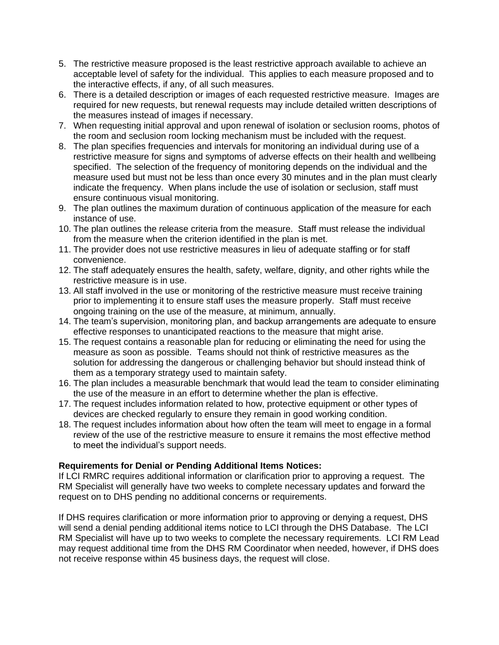- 5. The restrictive measure proposed is the least restrictive approach available to achieve an acceptable level of safety for the individual. This applies to each measure proposed and to the interactive effects, if any, of all such measures.
- 6. There is a detailed description or images of each requested restrictive measure. Images are required for new requests, but renewal requests may include detailed written descriptions of the measures instead of images if necessary.
- 7. When requesting initial approval and upon renewal of isolation or seclusion rooms, photos of the room and seclusion room locking mechanism must be included with the request.
- 8. The plan specifies frequencies and intervals for monitoring an individual during use of a restrictive measure for signs and symptoms of adverse effects on their health and wellbeing specified. The selection of the frequency of monitoring depends on the individual and the measure used but must not be less than once every 30 minutes and in the plan must clearly indicate the frequency. When plans include the use of isolation or seclusion, staff must ensure continuous visual monitoring.
- 9. The plan outlines the maximum duration of continuous application of the measure for each instance of use.
- 10. The plan outlines the release criteria from the measure. Staff must release the individual from the measure when the criterion identified in the plan is met.
- 11. The provider does not use restrictive measures in lieu of adequate staffing or for staff convenience.
- 12. The staff adequately ensures the health, safety, welfare, dignity, and other rights while the restrictive measure is in use.
- 13. All staff involved in the use or monitoring of the restrictive measure must receive training prior to implementing it to ensure staff uses the measure properly. Staff must receive ongoing training on the use of the measure, at minimum, annually.
- 14. The team's supervision, monitoring plan, and backup arrangements are adequate to ensure effective responses to unanticipated reactions to the measure that might arise.
- 15. The request contains a reasonable plan for reducing or eliminating the need for using the measure as soon as possible. Teams should not think of restrictive measures as the solution for addressing the dangerous or challenging behavior but should instead think of them as a temporary strategy used to maintain safety.
- 16. The plan includes a measurable benchmark that would lead the team to consider eliminating the use of the measure in an effort to determine whether the plan is effective.
- 17. The request includes information related to how, protective equipment or other types of devices are checked regularly to ensure they remain in good working condition.
- 18. The request includes information about how often the team will meet to engage in a formal review of the use of the restrictive measure to ensure it remains the most effective method to meet the individual's support needs.

# **Requirements for Denial or Pending Additional Items Notices:**

If LCI RMRC requires additional information or clarification prior to approving a request. The RM Specialist will generally have two weeks to complete necessary updates and forward the request on to DHS pending no additional concerns or requirements.

If DHS requires clarification or more information prior to approving or denying a request, DHS will send a denial pending additional items notice to LCI through the DHS Database. The LCI RM Specialist will have up to two weeks to complete the necessary requirements. LCI RM Lead may request additional time from the DHS RM Coordinator when needed, however, if DHS does not receive response within 45 business days, the request will close.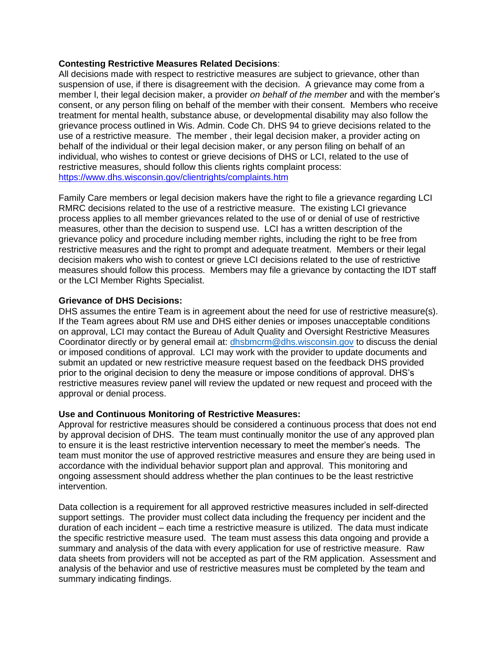### **Contesting Restrictive Measures Related Decisions**:

All decisions made with respect to restrictive measures are subject to grievance, other than suspension of use, if there is disagreement with the decision. A grievance may come from a member l, their legal decision maker, a provider *on behalf of the member* and with the member's consent, or any person filing on behalf of the member with their consent. Members who receive treatment for mental health, substance abuse, or developmental disability may also follow the grievance process outlined in Wis. Admin. Code Ch. DHS 94 to grieve decisions related to the use of a restrictive measure. The member , their legal decision maker, a provider acting on behalf of the individual or their legal decision maker, or any person filing on behalf of an individual, who wishes to contest or grieve decisions of DHS or LCI, related to the use of restrictive measures, should follow this clients rights complaint process: <https://www.dhs.wisconsin.gov/clientrights/complaints.htm>

Family Care members or legal decision makers have the right to file a grievance regarding LCI RMRC decisions related to the use of a restrictive measure. The existing LCI grievance process applies to all member grievances related to the use of or denial of use of restrictive measures, other than the decision to suspend use. LCI has a written description of the grievance policy and procedure including member rights, including the right to be free from restrictive measures and the right to prompt and adequate treatment. Members or their legal decision makers who wish to contest or grieve LCI decisions related to the use of restrictive measures should follow this process. Members may file a grievance by contacting the IDT staff or the LCI Member Rights Specialist.

### **Grievance of DHS Decisions:**

DHS assumes the entire Team is in agreement about the need for use of restrictive measure(s). If the Team agrees about RM use and DHS either denies or imposes unacceptable conditions on approval, LCI may contact the Bureau of Adult Quality and Oversight Restrictive Measures Coordinator directly or by general email at: [dhsbmcrm@dhs.wisconsin.gov](mailto:dhsbmcrm@dhs.wisconsin.gov) to discuss the denial or imposed conditions of approval. LCI may work with the provider to update documents and submit an updated or new restrictive measure request based on the feedback DHS provided prior to the original decision to deny the measure or impose conditions of approval. DHS's restrictive measures review panel will review the updated or new request and proceed with the approval or denial process.

### **Use and Continuous Monitoring of Restrictive Measures:**

Approval for restrictive measures should be considered a continuous process that does not end by approval decision of DHS. The team must continually monitor the use of any approved plan to ensure it is the least restrictive intervention necessary to meet the member's needs. The team must monitor the use of approved restrictive measures and ensure they are being used in accordance with the individual behavior support plan and approval. This monitoring and ongoing assessment should address whether the plan continues to be the least restrictive intervention.

Data collection is a requirement for all approved restrictive measures included in self-directed support settings. The provider must collect data including the frequency per incident and the duration of each incident – each time a restrictive measure is utilized. The data must indicate the specific restrictive measure used. The team must assess this data ongoing and provide a summary and analysis of the data with every application for use of restrictive measure. Raw data sheets from providers will not be accepted as part of the RM application. Assessment and analysis of the behavior and use of restrictive measures must be completed by the team and summary indicating findings.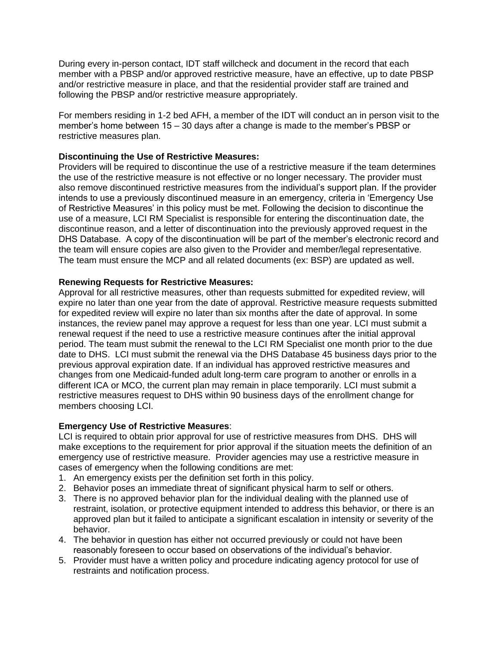During every in-person contact, IDT staff willcheck and document in the record that each member with a PBSP and/or approved restrictive measure, have an effective, up to date PBSP and/or restrictive measure in place, and that the residential provider staff are trained and following the PBSP and/or restrictive measure appropriately.

For members residing in 1-2 bed AFH, a member of the IDT will conduct an in person visit to the member's home between 15 – 30 days after a change is made to the member's PBSP or restrictive measures plan.

# **Discontinuing the Use of Restrictive Measures:**

Providers will be required to discontinue the use of a restrictive measure if the team determines the use of the restrictive measure is not effective or no longer necessary. The provider must also remove discontinued restrictive measures from the individual's support plan. If the provider intends to use a previously discontinued measure in an emergency, criteria in 'Emergency Use of Restrictive Measures' in this policy must be met. Following the decision to discontinue the use of a measure, LCI RM Specialist is responsible for entering the discontinuation date, the discontinue reason, and a letter of discontinuation into the previously approved request in the DHS Database. A copy of the discontinuation will be part of the member's electronic record and the team will ensure copies are also given to the Provider and member/legal representative. The team must ensure the MCP and all related documents (ex: BSP) are updated as well.

### **Renewing Requests for Restrictive Measures:**

Approval for all restrictive measures, other than requests submitted for expedited review, will expire no later than one year from the date of approval. Restrictive measure requests submitted for expedited review will expire no later than six months after the date of approval. In some instances, the review panel may approve a request for less than one year. LCI must submit a renewal request if the need to use a restrictive measure continues after the initial approval period. The team must submit the renewal to the LCI RM Specialist one month prior to the due date to DHS. LCI must submit the renewal via the DHS Database 45 business days prior to the previous approval expiration date. If an individual has approved restrictive measures and changes from one Medicaid-funded adult long-term care program to another or enrolls in a different ICA or MCO, the current plan may remain in place temporarily. LCI must submit a restrictive measures request to DHS within 90 business days of the enrollment change for members choosing LCI.

# **Emergency Use of Restrictive Measures**:

LCI is required to obtain prior approval for use of restrictive measures from DHS. DHS will make exceptions to the requirement for prior approval if the situation meets the definition of an emergency use of restrictive measure. Provider agencies may use a restrictive measure in cases of emergency when the following conditions are met:

- 1. An emergency exists per the definition set forth in this policy.
- 2. Behavior poses an immediate threat of significant physical harm to self or others.
- 3. There is no approved behavior plan for the individual dealing with the planned use of restraint, isolation, or protective equipment intended to address this behavior, or there is an approved plan but it failed to anticipate a significant escalation in intensity or severity of the behavior.
- 4. The behavior in question has either not occurred previously or could not have been reasonably foreseen to occur based on observations of the individual's behavior.
- 5. Provider must have a written policy and procedure indicating agency protocol for use of restraints and notification process.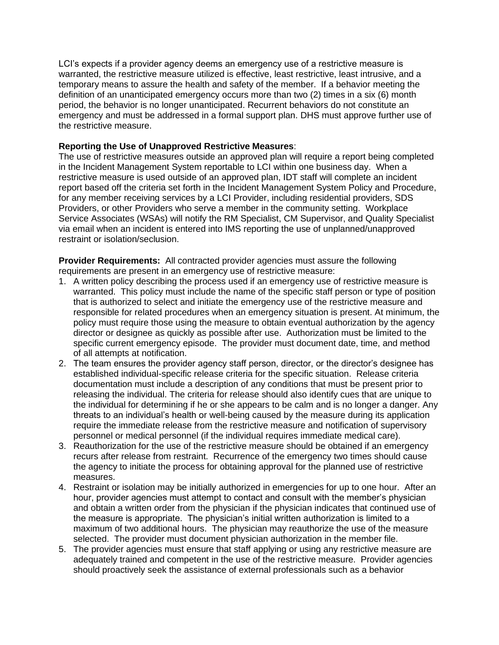LCI's expects if a provider agency deems an emergency use of a restrictive measure is warranted, the restrictive measure utilized is effective, least restrictive, least intrusive, and a temporary means to assure the health and safety of the member. If a behavior meeting the definition of an unanticipated emergency occurs more than two (2) times in a six (6) month period, the behavior is no longer unanticipated. Recurrent behaviors do not constitute an emergency and must be addressed in a formal support plan. DHS must approve further use of the restrictive measure.

## **Reporting the Use of Unapproved Restrictive Measures**:

The use of restrictive measures outside an approved plan will require a report being completed in the Incident Management System reportable to LCI within one business day. When a restrictive measure is used outside of an approved plan, IDT staff will complete an incident report based off the criteria set forth in the Incident Management System Policy and Procedure, for any member receiving services by a LCI Provider, including residential providers, SDS Providers, or other Providers who serve a member in the community setting. Workplace Service Associates (WSAs) will notify the RM Specialist, CM Supervisor, and Quality Specialist via email when an incident is entered into IMS reporting the use of unplanned/unapproved restraint or isolation/seclusion.

**Provider Requirements:** All contracted provider agencies must assure the following requirements are present in an emergency use of restrictive measure:

- 1. A written policy describing the process used if an emergency use of restrictive measure is warranted. This policy must include the name of the specific staff person or type of position that is authorized to select and initiate the emergency use of the restrictive measure and responsible for related procedures when an emergency situation is present. At minimum, the policy must require those using the measure to obtain eventual authorization by the agency director or designee as quickly as possible after use. Authorization must be limited to the specific current emergency episode. The provider must document date, time, and method of all attempts at notification.
- 2. The team ensures the provider agency staff person, director, or the director's designee has established individual-specific release criteria for the specific situation. Release criteria documentation must include a description of any conditions that must be present prior to releasing the individual. The criteria for release should also identify cues that are unique to the individual for determining if he or she appears to be calm and is no longer a danger. Any threats to an individual's health or well-being caused by the measure during its application require the immediate release from the restrictive measure and notification of supervisory personnel or medical personnel (if the individual requires immediate medical care).
- 3. Reauthorization for the use of the restrictive measure should be obtained if an emergency recurs after release from restraint. Recurrence of the emergency two times should cause the agency to initiate the process for obtaining approval for the planned use of restrictive measures.
- 4. Restraint or isolation may be initially authorized in emergencies for up to one hour. After an hour, provider agencies must attempt to contact and consult with the member's physician and obtain a written order from the physician if the physician indicates that continued use of the measure is appropriate. The physician's initial written authorization is limited to a maximum of two additional hours. The physician may reauthorize the use of the measure selected. The provider must document physician authorization in the member file.
- 5. The provider agencies must ensure that staff applying or using any restrictive measure are adequately trained and competent in the use of the restrictive measure. Provider agencies should proactively seek the assistance of external professionals such as a behavior